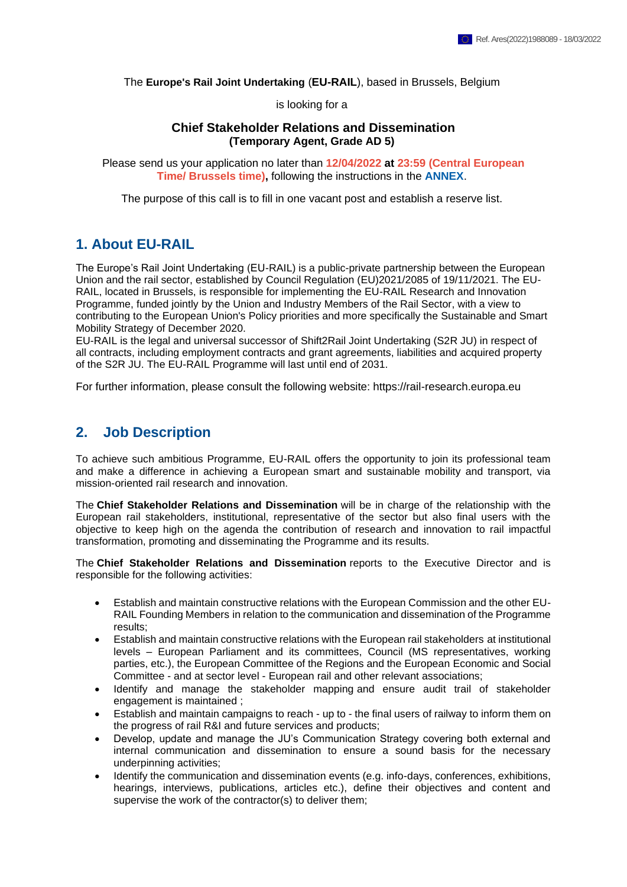The **Europe's Rail Joint Undertaking** (**EU-RAIL**), based in Brussels, Belgium

is looking for a

#### **Chief Stakeholder Relations and Dissemination (Temporary Agent, Grade AD 5)**

Please send us your application no later than **12/04/2022 at 23:59 (Central European Time/ Brussels time),** following the instructions in the **[ANNEX](https://shift2rail.org/wp-content/uploads/2022/01/Annex-to-the-vacancy-notice_EU-RAIL.pdf)**.

The purpose of this call is to fill in one vacant post and establish a reserve list.

## **1. About EU-RAIL**

The Europe's Rail Joint Undertaking (EU-RAIL) is a public-private partnership between the European Union and the rail sector, established by Council Regulation (EU)2021/2085 of 19/11/2021. The EU-RAIL, located in Brussels, is responsible for implementing the EU-RAIL Research and Innovation Programme, funded jointly by the Union and Industry Members of the Rail Sector, with a view to contributing to the European Union's Policy priorities and more specifically the Sustainable and Smart Mobility Strategy of December 2020.

EU-RAIL is the legal and universal successor of Shift2Rail Joint Undertaking (S2R JU) in respect of all contracts, including employment contracts and grant agreements, liabilities and acquired property of the S2R JU. The EU-RAIL Programme will last until end of 2031.

For further information, please consult the following website: https://rail-research.europa.eu

## **2. Job Description**

To achieve such ambitious Programme, EU-RAIL offers the opportunity to join its professional team and make a difference in achieving a European smart and sustainable mobility and transport, via mission-oriented rail research and innovation.

The **Chief Stakeholder Relations and Dissemination** will be in charge of the relationship with the European rail stakeholders, institutional, representative of the sector but also final users with the objective to keep high on the agenda the contribution of research and innovation to rail impactful transformation, promoting and disseminating the Programme and its results.

The **Chief Stakeholder Relations and Dissemination** reports to the Executive Director and is responsible for the following activities:

- Establish and maintain constructive relations with the European Commission and the other EU-RAIL Founding Members in relation to the communication and dissemination of the Programme results;
- Establish and maintain constructive relations with the European rail stakeholders at institutional levels – European Parliament and its committees, Council (MS representatives, working parties, etc.), the European Committee of the Regions and the European Economic and Social Committee - and at sector level - European rail and other relevant associations;
- Identify and manage the stakeholder mapping and ensure audit trail of stakeholder engagement is maintained ;
- Establish and maintain campaigns to reach up to the final users of railway to inform them on the progress of rail R&I and future services and products;
- Develop, update and manage the JU's Communication Strategy covering both external and internal communication and dissemination to ensure a sound basis for the necessary underpinning activities;
- Identify the communication and dissemination events (e.g. info-days, conferences, exhibitions, hearings, interviews, publications, articles etc.), define their objectives and content and supervise the work of the contractor(s) to deliver them;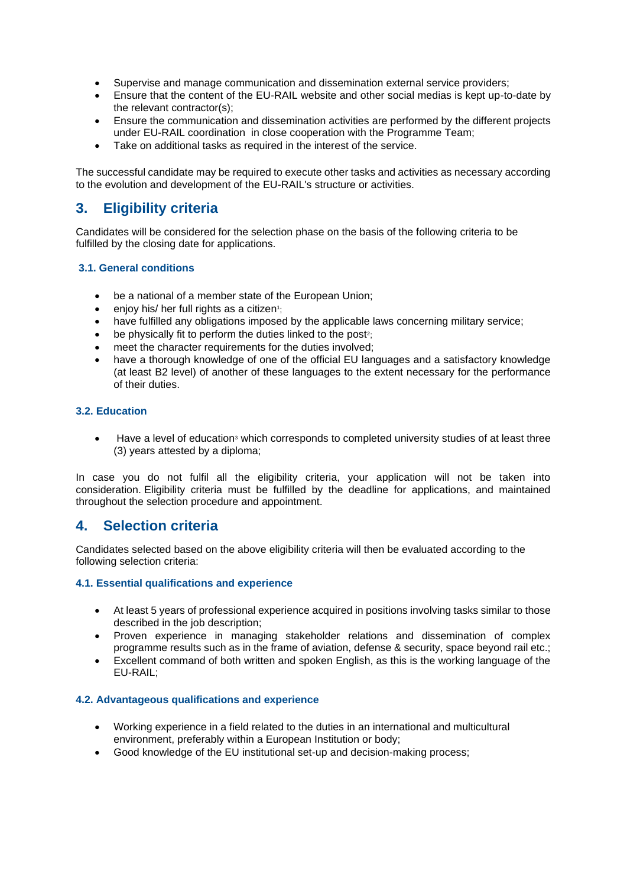- Supervise and manage communication and dissemination external service providers;
- Ensure that the content of the EU-RAIL website and other social medias is kept up-to-date by the relevant contractor(s);
- Ensure the communication and dissemination activities are performed by the different projects under EU-RAIL coordination in close cooperation with the Programme Team;
- Take on additional tasks as required in the interest of the service.

The successful candidate may be required to execute other tasks and activities as necessary according to the evolution and development of the EU-RAIL's structure or activities.

# **3. Eligibility criteria**

Candidates will be considered for the selection phase on the basis of the following criteria to be fulfilled by the closing date for applications.

#### **3.1. General conditions**

- be a national of a member state of the European Union;
- enjoy his/ her full rights as a citizen<sup>1</sup>;
- have fulfilled any obligations imposed by the applicable laws concerning military service;
- $\bullet$  be physically fit to perform the duties linked to the post<sup>2</sup>;
- meet the character requirements for the duties involved;
- have a thorough knowledge of one of the official EU languages and a satisfactory knowledge (at least B2 level) of another of these languages to the extent necessary for the performance of their duties.

#### **3.2. Education**

Have a level of education<sup>3</sup> which corresponds to completed university studies of at least three (3) years attested by a diploma;

In case you do not fulfil all the eligibility criteria, your application will not be taken into consideration. Eligibility criteria must be fulfilled by the deadline for applications, and maintained throughout the selection procedure and appointment.

## **4. Selection criteria**

Candidates selected based on the above eligibility criteria will then be evaluated according to the following selection criteria:

#### **4.1. Essential qualifications and experience**

- At least 5 years of professional experience acquired in positions involving tasks similar to those described in the job description;
- Proven experience in managing stakeholder relations and dissemination of complex programme results such as in the frame of aviation, defense & security, space beyond rail etc.;
- Excellent command of both written and spoken English, as this is the working language of the EU-RAIL;

#### **4.2. Advantageous qualifications and experience**

- Working experience in a field related to the duties in an international and multicultural environment, preferably within a European Institution or body;
- Good knowledge of the EU institutional set-up and decision-making process;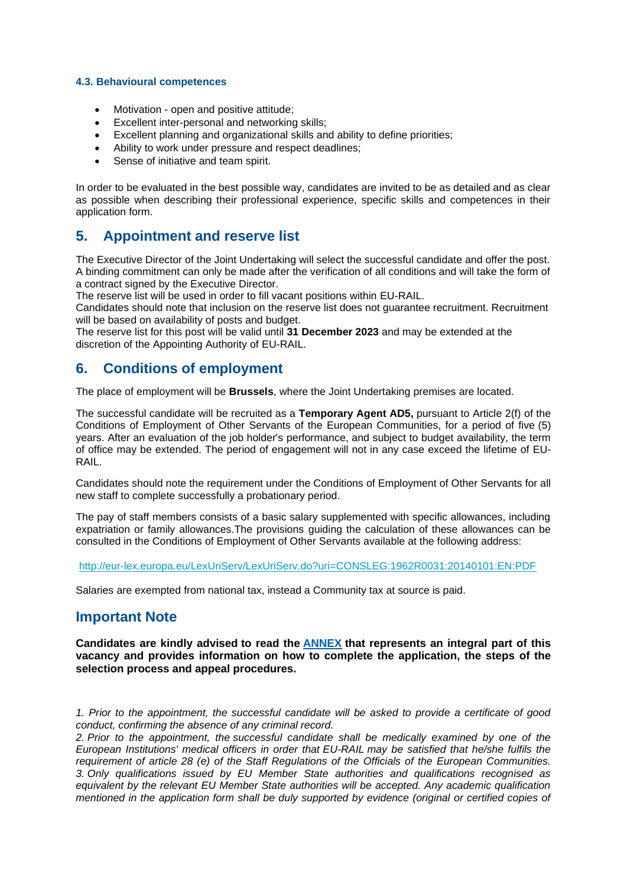#### **4.3. Behavioural competences**

- Motivation open and positive attitude;
- Excellent inter-personal and networking skills;
- Excellent planning and organizational skills and ability to define priorities;
- Ability to work under pressure and respect deadlines:
- Sense of initiative and team spirit.

In order to be evaluated in the best possible way, candidates are invited to be as detailed and as clear as possible when describing their professional experience, specific skills and competences in their application form.

### **5. Appointment and reserve list**

The Executive Director of the Joint Undertaking will select the successful candidate and offer the post. A binding commitment can only be made after the verification of all conditions and will take the form of a contract signed by the Executive Director.

The reserve list will be used in order to fill vacant positions within EU-RAIL.

Candidates should note that inclusion on the reserve list does not guarantee recruitment. Recruitment will be based on availability of posts and budget.

The reserve list for this post will be valid until **31 December 2023** and may be extended at the discretion of the Appointing Authority of EU-RAIL.

### **6. Conditions of employment**

The place of employment will be **Brussels**, where the Joint Undertaking premises are located.

The successful candidate will be recruited as a **Temporary Agent AD5,** pursuant to Article 2(f) of the Conditions of Employment of Other Servants of the European Communities, for a period of five (5) years. After an evaluation of the job holder's performance, and subject to budget availability, the term of office may be extended. The period of engagement will not in any case exceed the lifetime of EU-RAIL.

Candidates should note the requirement under the Conditions of Employment of Other Servants for all new staff to complete successfully a probationary period.

The pay of staff members consists of a basic salary supplemented with specific allowances, including expatriation or family allowances.The provisions guiding the calculation of these allowances can be consulted in the Conditions of Employment of Other Servants available at the following address:

<http://eur-lex.europa.eu/LexUriServ/LexUriServ.do?uri=CONSLEG:1962R0031:20140101:EN:PDF>

Salaries are exempted from national tax, instead a Community tax at source is paid.

### **Important Note**

**Candidates are kindly advised to read the [ANNEX](https://shift2rail.org/wp-content/uploads/2022/01/Annex-to-the-vacancy-notice_EU-RAIL.pdf) that represents an integral part of this vacancy and provides information on how to complete the application, the steps of the selection process and appeal procedures.**

*1. Prior to the appointment, the successful candidate will be asked to provide a certificate of good conduct, confirming the absence of any criminal record.*

*2. Prior to the appointment, the successful candidate shall be medically examined by one of the European Institutions' medical officers in order that EU-RAIL may be satisfied that he/she fulfils the requirement of article 28 (e) of the Staff Regulations of the Officials of the European Communities. 3. Only qualifications issued by EU Member State authorities and qualifications recognised as equivalent by the relevant EU Member State authorities will be accepted. Any academic qualification mentioned in the application form shall be duly supported by evidence (original or certified copies of*